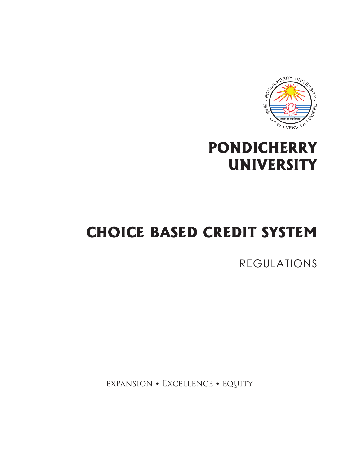

## **PONDICHERRY UNIVERSITY**

## **CHOICE BASED CREDIT SYSTEM**

REGULATIONS

expansion • Excellence • equity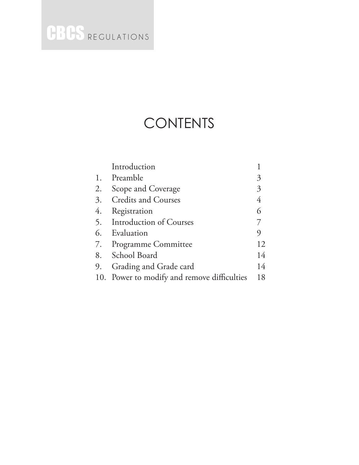### **CONTENTS**

|    | Introduction                                |                |
|----|---------------------------------------------|----------------|
|    | 1. Preamble                                 | 3              |
| 2. | Scope and Coverage                          | 3              |
|    | 3. Credits and Courses                      | $\overline{4}$ |
| 4. | Registration                                | 6              |
|    | 5. Introduction of Courses                  |                |
|    | 6. Evaluation                               | 9              |
|    | 7. Programme Committee                      | 12             |
|    | 8. School Board                             | 14             |
|    | 9. Grading and Grade card                   | 14             |
|    | 10. Power to modify and remove difficulties | 18             |
|    |                                             |                |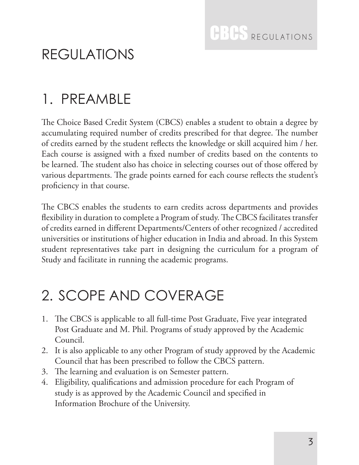## REGULATIONS

## 1. PREAMBLE

The Choice Based Credit System (CBCS) enables a student to obtain a degree by accumulating required number of credits prescribed for that degree. The number of credits earned by the student reflects the knowledge or skill acquired him / her. Each course is assigned with a fixed number of credits based on the contents to be learned. The student also has choice in selecting courses out of those offered by various departments. The grade points earned for each course reflects the student's proficiency in that course.

The CBCS enables the students to earn credits across departments and provides flexibility in duration to complete a Program of study. The CBCS facilitates transfer of credits earned in different Departments/Centers of other recognized / accredited universities or institutions of higher education in India and abroad. In this System student representatives take part in designing the curriculum for a program of Study and facilitate in running the academic programs.

## 2. SCOPE AND COVERAGE

- 1. The CBCS is applicable to all full-time Post Graduate, Five year integrated Post Graduate and M. Phil. Programs of study approved by the Academic Council.
- 2. It is also applicable to any other Program of study approved by the Academic Council that has been prescribed to follow the CBCS pattern.
- 3. The learning and evaluation is on Semester pattern.
- 4. Eligibility, qualifications and admission procedure for each Program of study is as approved by the Academic Council and specified in Information Brochure of the University.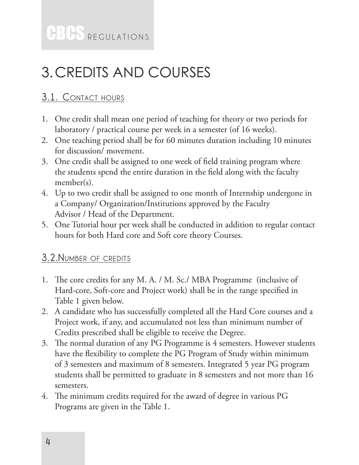## 3.CREDITS AND COURSES

#### **3.1. Contact hours**

- 1. One credit shall mean one period of teaching for theory or two periods for laboratory / practical course per week in a semester (of 16 weeks).
- 2. One teaching period shall be for 60 minutes duration including 10 minutes for discussion/ movement.
- 3. One credit shall be assigned to one week of field training program where the students spend the entire duration in the field along with the faculty member(s).
- 4. Up to two credit shall be assigned to one month of Internship undergone in a Company/ Organization/Institutions approved by the Faculty Advisor / Head of the Department.
- 5. One Tutorial hour per week shall be conducted in addition to regular contact hours for both Hard core and Soft core theory Courses.

#### **3.2.Number of credits**

- 1. The core credits for any M. A. / M. Sc./ MBA Programme (inclusive of Hard-core, Soft-core and Project work) shall be in the range specified in Table 1 given below.
- 2. A candidate who has successfully completed all the Hard Core courses and a Project work, if any, and accumulated not less than minimum number of Credits prescribed shall be eligible to receive the Degree.
- 3. The normal duration of any PG Programme is 4 semesters. However students have the flexibility to complete the PG Program of Study within minimum of 3 semesters and maximum of 8 semesters. Integrated 5 year PG program students shall be permitted to graduate in 8 semesters and not more than 16 semesters.
- 4. The minimum credits required for the award of degree in various PG Programs are given in the Table 1.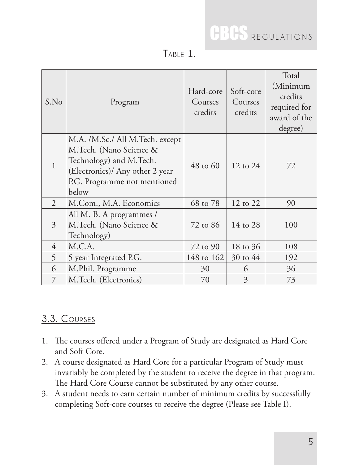| z |  |
|---|--|
|   |  |

| S.No           | Program                                                                                                                                                           | Hard-core<br>Courses<br>credits | Soft-core<br>Courses<br>credits | Total<br>(Minimum<br>credits<br>required for<br>award of the<br>degree) |
|----------------|-------------------------------------------------------------------------------------------------------------------------------------------------------------------|---------------------------------|---------------------------------|-------------------------------------------------------------------------|
| $\mathbf{1}$   | M.A. /M.Sc./ All M.Tech. except<br>M.Tech. (Nano Science &<br>Technology) and M.Tech.<br>(Electronics)/ Any other 2 year<br>P.G. Programme not mentioned<br>below | $48$ to 60                      | 12 to 24                        | 72                                                                      |
| $\overline{2}$ | M.Com., M.A. Economics                                                                                                                                            | 68 to 78                        | 12 to 22                        | 90                                                                      |
| 3              | All M. B. A programmes /<br>M.Tech. (Nano Science &<br>Technology)                                                                                                | 72 to 86                        | 14 to 28                        | 100                                                                     |
| $\overline{4}$ | M.C.A.                                                                                                                                                            | 72 to 90                        | 18 to 36                        | 108                                                                     |
| 5              | 5 year Integrated P.G.                                                                                                                                            | 148 to 162                      | $30 \text{ to } 44$             | 192                                                                     |
| 6              | M.Phil. Programme                                                                                                                                                 | 30                              | 6                               | 36                                                                      |
| 7              | M.Tech. (Electronics)                                                                                                                                             | 70                              | 3                               | 73                                                                      |

#### **3.3. Courses**

- 1. The courses offered under a Program of Study are designated as Hard Core and Soft Core.
- 2. A course designated as Hard Core for a particular Program of Study must invariably be completed by the student to receive the degree in that program. The Hard Core Course cannot be substituted by any other course.
- 3. A student needs to earn certain number of minimum credits by successfully completing Soft-core courses to receive the degree (Please see Table I).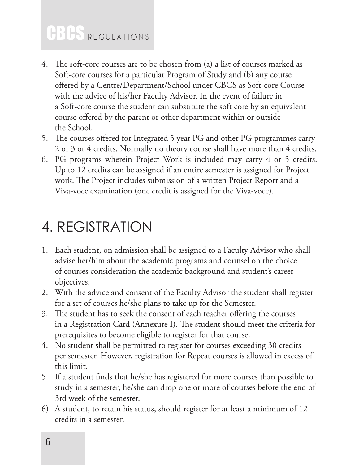- 4. The soft-core courses are to be chosen from (a) a list of courses marked as Soft-core courses for a particular Program of Study and (b) any course offered by a Centre/Department/School under CBCS as Soft-core Course with the advice of his/her Faculty Advisor. In the event of failure in a Soft-core course the student can substitute the soft core by an equivalent course offered by the parent or other department within or outside the School.
- 5. The courses offered for Integrated 5 year PG and other PG programmes carry 2 or 3 or 4 credits. Normally no theory course shall have more than 4 credits.
- 6. PG programs wherein Project Work is included may carry 4 or 5 credits. Up to 12 credits can be assigned if an entire semester is assigned for Project work. The Project includes submission of a written Project Report and a Viva-voce examination (one credit is assigned for the Viva-voce).

### 4. REGISTRATION

- 1. Each student, on admission shall be assigned to a Faculty Advisor who shall advise her/him about the academic programs and counsel on the choice of courses consideration the academic background and student's career objectives.
- 2. With the advice and consent of the Faculty Advisor the student shall register for a set of courses he/she plans to take up for the Semester.
- 3. The student has to seek the consent of each teacher offering the courses in a Registration Card (Annexure I). The student should meet the criteria for prerequisites to become eligible to register for that course.
- 4. No student shall be permitted to register for courses exceeding 30 credits per semester. However, registration for Repeat courses is allowed in excess of this limit.
- 5. If a student finds that he/she has registered for more courses than possible to study in a semester, he/she can drop one or more of courses before the end of 3rd week of the semester.
- 6) A student, to retain his status, should register for at least a minimum of 12 credits in a semester.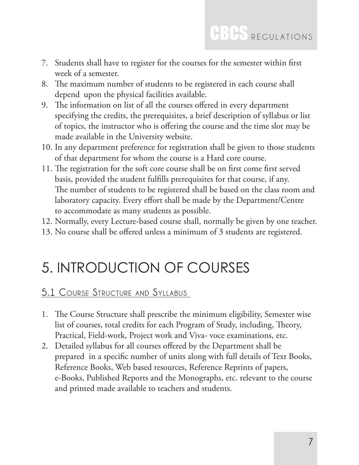- 7. Students shall have to register for the courses for the semester within first week of a semester.
- 8. The maximum number of students to be registered in each course shall depend upon the physical facilities available.
- 9. The information on list of all the courses offered in every department specifying the credits, the prerequisites, a brief description of syllabus or list of topics, the instructor who is offering the course and the time slot may be made available in the University website.
- 10. In any department preference for registration shall be given to those students of that department for whom the course is a Hard core course.
- 11. The registration for the soft core course shall be on first come first served basis, provided the student fulfills prerequisites for that course, if any. The number of students to be registered shall be based on the class room and laboratory capacity. Every effort shall be made by the Department/Centre to accommodate as many students as possible.
- 12. Normally, every Lecture-based course shall, normally be given by one teacher.
- 13. No course shall be offered unless a minimum of 3 students are registered.

## 5. INTRODUCTION OF COURSES

#### **5.1 Course Structure and Syllabus**

- 1. The Course Structure shall prescribe the minimum eligibility, Semester wise list of courses, total credits for each Program of Study, including, Theory, Practical, Field-work, Project work and Viva- voce examinations, etc.
- 2. Detailed syllabus for all courses offered by the Department shall be prepared in a specific number of units along with full details of Text Books, Reference Books, Web based resources, Reference Reprints of papers, e-Books, Published Reports and the Monographs, etc. relevant to the course and printed made available to teachers and students.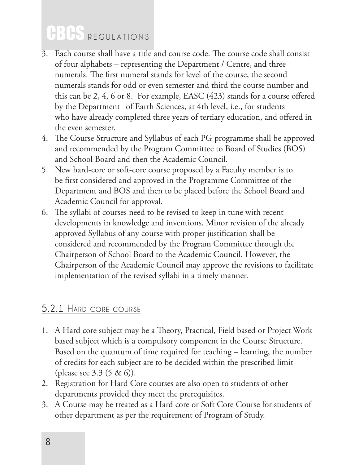- 3. Each course shall have a title and course code. The course code shall consist of four alphabets – representing the Department / Centre, and three numerals. The first numeral stands for level of the course, the second numerals stands for odd or even semester and third the course number and this can be 2, 4, 6 or 8. For example, EASC (423) stands for a course offered by the Department of Earth Sciences, at 4th level, i.e., for students who have already completed three years of tertiary education, and offered in the even semester.
- 4. The Course Structure and Syllabus of each PG programme shall be approved and recommended by the Program Committee to Board of Studies (BOS) and School Board and then the Academic Council.
- 5. New hard-core or soft-core course proposed by a Faculty member is to be first considered and approved in the Programme Committee of the Department and BOS and then to be placed before the School Board and Academic Council for approval.
- 6. The syllabi of courses need to be revised to keep in tune with recent developments in knowledge and inventions. Minor revision of the already approved Syllabus of any course with proper justification shall be considered and recommended by the Program Committee through the Chairperson of School Board to the Academic Council. However, the Chairperson of the Academic Council may approve the revisions to facilitate implementation of the revised syllabi in a timely manner.

#### **5.2.1 Hard core course**

- 1. A Hard core subject may be a Theory, Practical, Field based or Project Work based subject which is a compulsory component in the Course Structure. Based on the quantum of time required for teaching – learning, the number of credits for each subject are to be decided within the prescribed limit (please see 3.3 (5 & 6)).
- 2. Registration for Hard Core courses are also open to students of other departments provided they meet the prerequisites.
- 3. A Course may be treated as a Hard core or Soft Core Course for students of other department as per the requirement of Program of Study.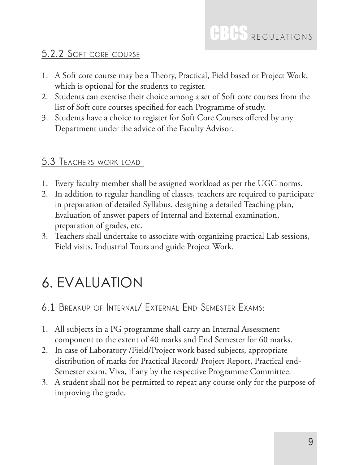#### **5.2.2 Soft core course**

- 1. A Soft core course may be a Theory, Practical, Field based or Project Work, which is optional for the students to register.
- 2. Students can exercise their choice among a set of Soft core courses from the list of Soft core courses specified for each Programme of study.
- 3. Students have a choice to register for Soft Core Courses offered by any Department under the advice of the Faculty Advisor.

#### **5.3 Teachers work load**

- 1. Every faculty member shall be assigned workload as per the UGC norms.
- 2. In addition to regular handling of classes, teachers are required to participate in preparation of detailed Syllabus, designing a detailed Teaching plan, Evaluation of answer papers of Internal and External examination, preparation of grades, etc.
- 3. Teachers shall undertake to associate with organizing practical Lab sessions, Field visits, Industrial Tours and guide Project Work.

## 6. EVALUATION

#### **6.1 Breakup of Internal/ External End Semester Exams:**

- 1. All subjects in a PG programme shall carry an Internal Assessment component to the extent of 40 marks and End Semester for 60 marks.
- 2. In case of Laboratory /Field/Project work based subjects, appropriate distribution of marks for Practical Record/ Project Report, Practical end-Semester exam, Viva, if any by the respective Programme Committee.
- 3. A student shall not be permitted to repeat any course only for the purpose of improving the grade.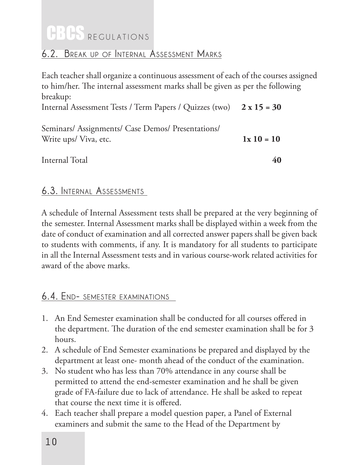#### **6.2. Break up of Internal Assessment Marks**

Each teacher shall organize a continuous assessment of each of the courses assigned to him/her. The internal assessment marks shall be given as per the following breakup: Internal Assessment Tests / Term Papers / Quizzes (two) **2 x 15 = 30**

| Seminars/ Assignments/ Case Demos/ Presentations/ |             |
|---------------------------------------------------|-------------|
| Write ups/Viva, etc.                              | $1x10 = 10$ |
| Internal Total                                    | 40          |

#### **6.3. Internal Assessments**

A schedule of Internal Assessment tests shall be prepared at the very beginning of the semester. Internal Assessment marks shall be displayed within a week from the date of conduct of examination and all corrected answer papers shall be given back to students with comments, if any. It is mandatory for all students to participate in all the Internal Assessment tests and in various course-work related activities for award of the above marks.

#### **6.4. End- semester examinations**

- 1. An End Semester examination shall be conducted for all courses offered in the department. The duration of the end semester examination shall be for 3 hours.
- 2. A schedule of End Semester examinations be prepared and displayed by the department at least one- month ahead of the conduct of the examination.
- 3. No student who has less than 70% attendance in any course shall be permitted to attend the end-semester examination and he shall be given grade of FA-failure due to lack of attendance. He shall be asked to repeat that course the next time it is offered.
- 4. Each teacher shall prepare a model question paper, a Panel of External examiners and submit the same to the Head of the Department by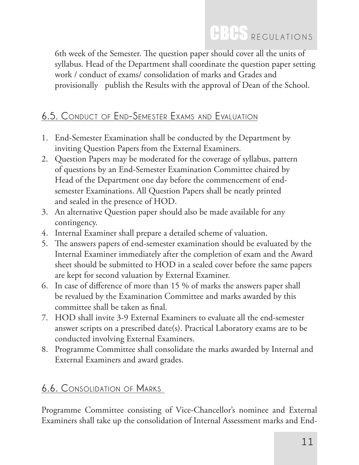6th week of the Semester. The question paper should cover all the units of syllabus. Head of the Department shall coordinate the question paper setting work / conduct of exams/ consolidation of marks and Grades and provisionally publish the Results with the approval of Dean of the School.

#### **6.5. Conduct of End-Semester Exams and Evaluation**

- 1. End-Semester Examination shall be conducted by the Department by inviting Question Papers from the External Examiners.
- 2. Question Papers may be moderated for the coverage of syllabus, pattern of questions by an End-Semester Examination Committee chaired by Head of the Department one day before the commencement of endsemester Examinations. All Question Papers shall be neatly printed and sealed in the presence of HOD.
- 3. An alternative Question paper should also be made available for any contingency.
- 4. Internal Examiner shall prepare a detailed scheme of valuation.
- 5. The answers papers of end-semester examination should be evaluated by the Internal Examiner immediately after the completion of exam and the Award sheet should be submitted to HOD in a sealed cover before the same papers are kept for second valuation by External Examiner.
- 6. In case of difference of more than 15 % of marks the answers paper shall be revalued by the Examination Committee and marks awarded by this committee shall be taken as final.
- 7. HOD shall invite 3-9 External Examiners to evaluate all the end-semester answer scripts on a prescribed date(s). Practical Laboratory exams are to be conducted involving External Examiners.
- 8. Programme Committee shall consolidate the marks awarded by Internal and External Examiners and award grades.

#### **6.6. Consolidation of Marks**

Programme Committee consisting of Vice-Chancellor's nominee and External Examiners shall take up the consolidation of Internal Assessment marks and End-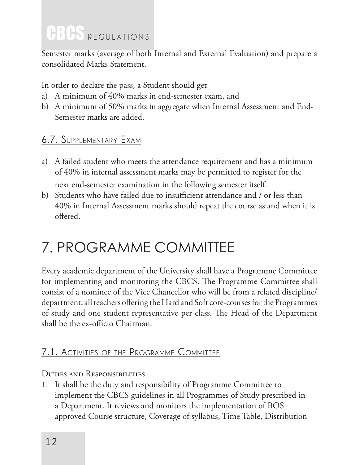Semester marks (average of both Internal and External Evaluation) and prepare a consolidated Marks Statement.

In order to declare the pass, a Student should get

- a) A minimum of 40% marks in end-semester exam, and
- b) A minimum of 50% marks in aggregate when Internal Assessment and End-Semester marks are added.

#### **6.7. Supplementary Exam**

- a) A failed student who meets the attendance requirement and has a minimum of 40% in internal assessment marks may be permitted to register for the next end-semester examination in the following semester itself.
- b) Students who have failed due to insufficient attendance and / or less than 40% in Internal Assessment marks should repeat the course as and when it is offered.

## 7. PROGRAMME COMMITTEE

Every academic department of the University shall have a Programme Committee for implementing and monitoring the CBCS. The Programme Committee shall consist of a nominee of the Vice Chancellor who will be from a related discipline/ department, all teachers offering the Hard and Soft core-courses for the Programmes of study and one student representative per class. The Head of the Department shall be the ex-officio Chairman.

#### **7.1. Activities of the Programme Committee**

#### Duties and Responsibilities

1. It shall be the duty and responsibility of Programme Committee to implement the CBCS guidelines in all Programmes of Study prescribed in a Department. It reviews and monitors the implementation of BOS approved Course structure, Coverage of syllabus, Time Table, Distribution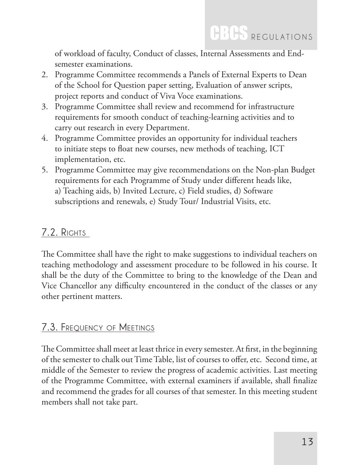of workload of faculty, Conduct of classes, Internal Assessments and Endsemester examinations.

- 2. Programme Committee recommends a Panels of External Experts to Dean of the School for Question paper setting, Evaluation of answer scripts, project reports and conduct of Viva Voce examinations.
- 3. Programme Committee shall review and recommend for infrastructure requirements for smooth conduct of teaching-learning activities and to carry out research in every Department.
- 4. Programme Committee provides an opportunity for individual teachers to initiate steps to float new courses, new methods of teaching, ICT implementation, etc.
- 5. Programme Committee may give recommendations on the Non-plan Budget requirements for each Programme of Study under different heads like, a) Teaching aids, b) Invited Lecture, c) Field studies, d) Software subscriptions and renewals, e) Study Tour/ Industrial Visits, etc.

#### **7.2. Rights**

The Committee shall have the right to make suggestions to individual teachers on teaching methodology and assessment procedure to be followed in his course. It shall be the duty of the Committee to bring to the knowledge of the Dean and Vice Chancellor any difficulty encountered in the conduct of the classes or any other pertinent matters.

#### **7.3. Frequency of Meetings**

The Committee shall meet at least thrice in every semester. At first, in the beginning of the semester to chalk out Time Table, list of courses to offer, etc. Second time, at middle of the Semester to review the progress of academic activities. Last meeting of the Programme Committee, with external examiners if available, shall finalize and recommend the grades for all courses of that semester. In this meeting student members shall not take part.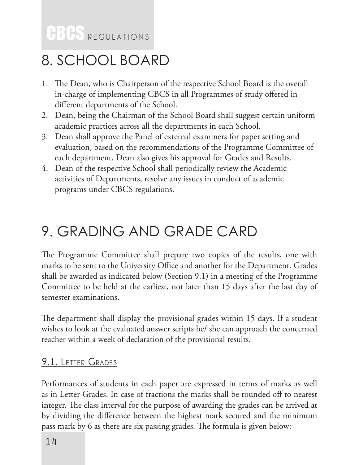## 8. SCHOOL BOARD

- 1. The Dean, who is Chairperson of the respective School Board is the overall in-charge of implementing CBCS in all Programmes of study offered in different departments of the School.
- 2. Dean, being the Chairman of the School Board shall suggest certain uniform academic practices across all the departments in each School.
- 3. Dean shall approve the Panel of external examiners for paper setting and evaluation, based on the recommendations of the Programme Committee of each department. Dean also gives his approval for Grades and Results.
- 4. Dean of the respective School shall periodically review the Academic activities of Departments, resolve any issues in conduct of academic programs under CBCS regulations.

## 9. GRADING AND GRADE CARD

The Programme Committee shall prepare two copies of the results, one with marks to be sent to the University Office and another for the Department. Grades shall be awarded as indicated below (Section 9.1) in a meeting of the Programme Committee to be held at the earliest, not later than 15 days after the last day of semester examinations.

The department shall display the provisional grades within 15 days. If a student wishes to look at the evaluated answer scripts he/ she can approach the concerned teacher within a week of declaration of the provisional results.

#### **9.1. Letter Grades**

Performances of students in each paper are expressed in terms of marks as well as in Letter Grades. In case of fractions the marks shall be rounded off to nearest integer. The class interval for the purpose of awarding the grades can be arrived at by dividing the difference between the highest mark secured and the minimum pass mark by 6 as there are six passing grades. The formula is given below: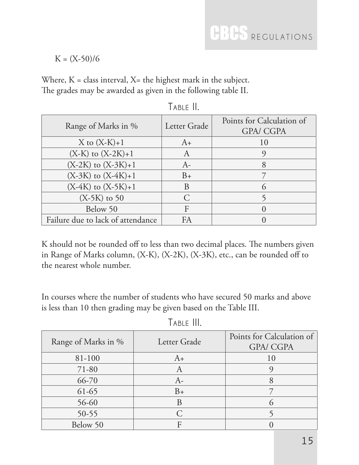$K = (X-50)/6$ 

Where,  $K =$  class interval,  $X =$  the highest mark in the subject. The grades may be awarded as given in the following table II.

| Range of Marks in %               | Letter Grade            | Points for Calculation of<br><b>GPA/ CGPA</b> |
|-----------------------------------|-------------------------|-----------------------------------------------|
| $X$ to $(X-K)+1$                  | $A+$                    | 10                                            |
| $(X-K)$ to $(X-2K)+1$             | $\mathsf{A}$            |                                               |
| $(X-2K)$ to $(X-3K)+1$            | $A-$                    | 8                                             |
| $(X-3K)$ to $(X-4K)+1$            | $B+$                    |                                               |
| $(X-4K)$ to $(X-5K)+1$            | B                       | $\mathcal{L}$                                 |
| $(X-5K)$ to 50                    | $\subset$               |                                               |
| Below 50                          | $\overline{\mathrm{E}}$ |                                               |
| Failure due to lack of attendance | FA                      |                                               |

 **Table II.**

K should not be rounded off to less than two decimal places. The numbers given in Range of Marks column, (X-K), (X-2K), (X-3K), etc., can be rounded off to the nearest whole number.

In courses where the number of students who have secured 50 marks and above is less than 10 then grading may be given based on the Table III.

| Range of Marks in % | Letter Grade   | Points for Calculation of<br><b>GPA/ CGPA</b> |
|---------------------|----------------|-----------------------------------------------|
| 81-100              | $A_{+}$        | 10                                            |
| 71-80               | $\overline{A}$ |                                               |
| 66-70               | $A -$          |                                               |
| $61-65$             | $B+$           |                                               |
| 56-60               |                |                                               |
| $50 - 55$           |                |                                               |
| Below 50            |                |                                               |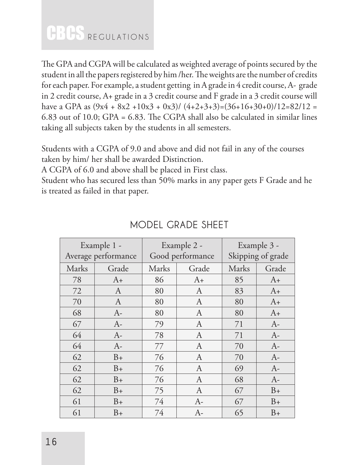The GPA and CGPA will be calculated as weighted average of points secured by the student in all the papers registered by him /her. The weights are the number of credits for each paper. For example, a student getting in A grade in 4 credit course, A- grade in 2 credit course, A+ grade in a 3 credit course and F grade in a 3 credit course will have a GPA as  $(9x4 + 8x2 + 10x3 + 0x3)$   $(4+2+3+3) = (36+16+30+0)$   $(12=82/12=$ 6.83 out of 10.0; GPA = 6.83. The CGPA shall also be calculated in similar lines taking all subjects taken by the students in all semesters.

Students with a CGPA of 9.0 and above and did not fail in any of the courses taken by him/ her shall be awarded Distinction.

A CGPA of 6.0 and above shall be placed in First class.

Student who has secured less than 50% marks in any paper gets F Grade and he is treated as failed in that paper.

| Example 1 -<br>Average performance |              | Example 2 -<br>Good performance |                  | Example 3 -<br>Skipping of grade |         |
|------------------------------------|--------------|---------------------------------|------------------|----------------------------------|---------|
| Marks                              | Grade        | Marks                           | Grade            | Marks                            | Grade   |
| 78                                 | $A+$         | 86                              | $A+$             | 85                               | $A+$    |
| 72                                 | $\mathbf{A}$ | 80                              | $\boldsymbol{A}$ | 83                               | $A+$    |
| 70                                 | $\mathbf{A}$ | 80                              | $\overline{A}$   | 80                               | $A+$    |
| 68                                 | $A-$         | 80                              | A                | 80                               | $A_{+}$ |
| 67                                 | $A-$         | 79                              | A                | 71                               | $A-$    |
| 64                                 | $A-$         | 78                              | $\overline{A}$   | 71                               | $A-$    |
| 64                                 | $A-$         | 77                              | A                | 70                               | $A-$    |
| 62                                 | $B+$         | 76                              | A                | 70                               | $A-$    |
| 62                                 | $B+$         | 76                              | $\overline{A}$   | 69                               | $A-$    |
| 62                                 | $B+$         | 76                              | A                | 68                               | $A-$    |
| 62                                 | $B+$         | 75                              | A                | 67                               | $B+$    |
| 61                                 | $B+$         | 74                              | $A-$             | 67                               | $B+$    |
| 61                                 | $B+$         | 74                              | $A-$             | 65                               | $B+$    |

#### **MODEL GRADE SHEET**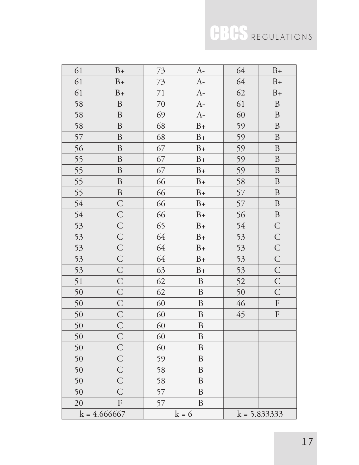| 61             | $B+$             | 73      | $A-$             | 64              | $B+$                      |
|----------------|------------------|---------|------------------|-----------------|---------------------------|
| 61             | $B+$             | 73      | $A-$             | 64              | $B+$                      |
| 61             | $B+$             | 71      | $A-$             | 62              | $B+$                      |
| 58             | $\, {\bf B}$     | $70\,$  | $A-$             | 61              | $\, {\bf B}$              |
| 58             | $\, {\bf B}$     | 69      | $A-$             | 60              | $\, {\bf B}$              |
| 58             | $\, {\bf B}$     | 68      | $\rm B+$         | 59              | $\, {\bf B}$              |
| 57             | $\, {\bf B}$     | 68      | $B+$             | 59              | $\boldsymbol{B}$          |
| 56             | $\, {\bf B}$     | 67      | $B+$             | 59              | $\mathbf{B}$              |
| 55             | $\, {\bf B}$     | 67      | $B+$             | 59              | $\, {\bf B}$              |
| 55             | $\boldsymbol{B}$ | 67      | $B+$             | 59              | $\boldsymbol{B}$          |
| 55             | $\, {\bf B}$     | 66      | $B+$             | 58              | $\, {\bf B}$              |
| 55             | $\, {\bf B}$     | 66      | $B+$             | 57              | $\, {\bf B}$              |
| 54             | $\mathsf{C}$     | 66      | $B+$             | 57              | $\, {\bf B}$              |
| 54             | $\mathsf{C}$     | 66      | $B+$             | 56              | $\, {\bf B}$              |
| 53             | $\mathsf{C}$     | 65      | $B+$             | 54              | $\mathcal{C}$             |
| 53             | $\mathsf{C}$     | 64      | $B+$             | 53              | $\mathsf{C}$              |
| 53             | $\mathsf{C}$     | 64      | $B+$             | 53              | $\mathsf{C}$              |
| 53             | $\overline{C}$   | 64      | $B+$             | 53              | $\mathsf{C}$              |
| 53             | $\mathsf{C}$     | 63      | $B+$             | 53              | $\mathsf{C}$              |
| 51             | $\mathsf{C}$     | 62      | $\, {\bf B}$     | 52              | $\mathsf{C}$              |
| 50             | $\mathsf{C}$     | 62      | $\, {\bf B}$     | 50              | $\mathsf{C}$              |
| 50             | $\mathsf{C}$     | 60      | $\boldsymbol{B}$ | 46              | $\boldsymbol{\mathrm{F}}$ |
| 50             | $\mathsf{C}$     | 60      | $\, {\bf B}$     | 45              | $\boldsymbol{\mathrm{F}}$ |
| 50             | $\mathsf{C}$     | 60      | $\, {\bf B}$     |                 |                           |
| 50             | $\mathsf{C}$     | 60      | B                |                 |                           |
| 50             | $\mathsf C$      | 60      | B                |                 |                           |
| 50             | $\overline{C}$   | 59      | B                |                 |                           |
| 50             | $\mathsf{C}$     | 58      | B                |                 |                           |
| 50             | $\mathsf C$      | 58      | $\boldsymbol{B}$ |                 |                           |
| 50             | С                | 57      | B                |                 |                           |
| 20             | F                | 57      | B                |                 |                           |
| $k = 4.666667$ |                  | $k = 6$ |                  | $k = 5.8333333$ |                           |